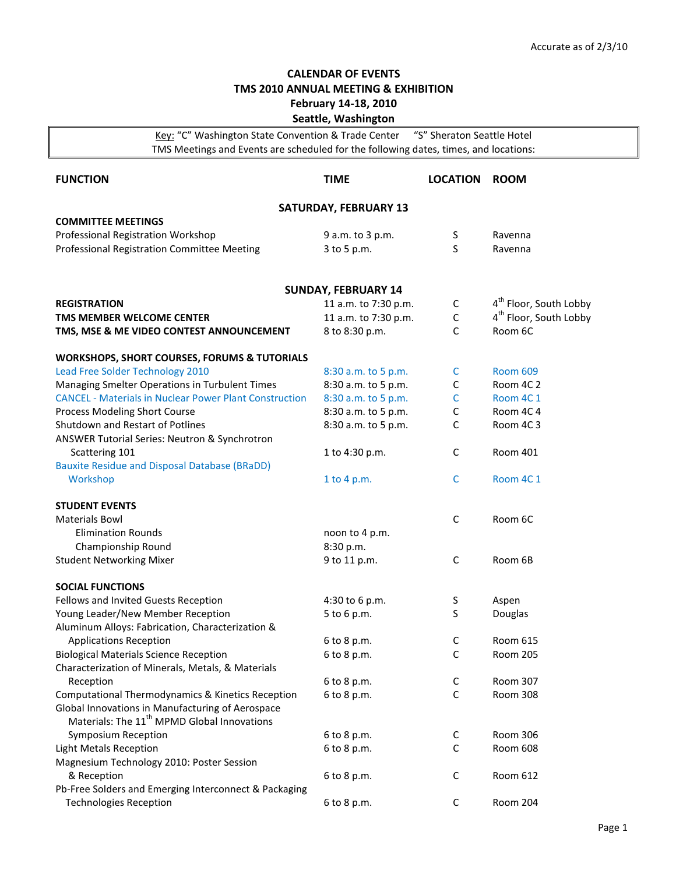## **CALENDAR OF EVENTS TMS 2010 ANNUAL MEETING & EXHIBITION February 14-18, 2010 Seattle, Washington**

Key: "C" Washington State Convention & Trade Center "S" Sheraton Seattle Hotel TMS Meetings and Events are scheduled for the following dates, times, and locations:

| <b>FUNCTION</b>                                                                                             | <b>TIME</b>                | <b>LOCATION</b> | <b>ROOM</b>                        |  |  |  |
|-------------------------------------------------------------------------------------------------------------|----------------------------|-----------------|------------------------------------|--|--|--|
| <b>SATURDAY, FEBRUARY 13</b>                                                                                |                            |                 |                                    |  |  |  |
| <b>COMMITTEE MEETINGS</b><br>Professional Registration Workshop                                             | 9 a.m. to 3 p.m.           | S               | Ravenna                            |  |  |  |
| Professional Registration Committee Meeting                                                                 | 3 to 5 p.m.                | S               | Ravenna                            |  |  |  |
|                                                                                                             |                            |                 |                                    |  |  |  |
|                                                                                                             | <b>SUNDAY, FEBRUARY 14</b> |                 |                                    |  |  |  |
| <b>REGISTRATION</b>                                                                                         | 11 a.m. to 7:30 p.m.       | $\mathsf{C}$    | 4 <sup>th</sup> Floor, South Lobby |  |  |  |
| TMS MEMBER WELCOME CENTER                                                                                   | 11 a.m. to 7:30 p.m.       | $\mathsf C$     | 4 <sup>th</sup> Floor, South Lobby |  |  |  |
| TMS, MSE & ME VIDEO CONTEST ANNOUNCEMENT                                                                    | 8 to 8:30 p.m.             | C               | Room 6C                            |  |  |  |
| <b>WORKSHOPS, SHORT COURSES, FORUMS &amp; TUTORIALS</b>                                                     |                            |                 |                                    |  |  |  |
| Lead Free Solder Technology 2010                                                                            | 8:30 a.m. to 5 p.m.        | C               | <b>Room 609</b>                    |  |  |  |
| Managing Smelter Operations in Turbulent Times                                                              | 8:30 a.m. to 5 p.m.        | C               | Room 4C 2                          |  |  |  |
| <b>CANCEL - Materials in Nuclear Power Plant Construction</b>                                               | 8:30 a.m. to 5 p.m.        | С               | Room 4C 1                          |  |  |  |
| Process Modeling Short Course                                                                               | 8:30 a.m. to 5 p.m.        | C               | Room 4C 4                          |  |  |  |
| Shutdown and Restart of Potlines                                                                            | 8:30 a.m. to 5 p.m.        | C               | Room 4C3                           |  |  |  |
| ANSWER Tutorial Series: Neutron & Synchrotron                                                               |                            |                 |                                    |  |  |  |
| Scattering 101                                                                                              | 1 to 4:30 p.m.             | C               | Room 401                           |  |  |  |
| <b>Bauxite Residue and Disposal Database (BRaDD)</b>                                                        |                            |                 |                                    |  |  |  |
| Workshop                                                                                                    | 1 to 4 p.m.                | C               | Room 4C 1                          |  |  |  |
| <b>STUDENT EVENTS</b>                                                                                       |                            |                 |                                    |  |  |  |
| <b>Materials Bowl</b>                                                                                       |                            | C               | Room 6C                            |  |  |  |
| <b>Elimination Rounds</b>                                                                                   | noon to 4 p.m.             |                 |                                    |  |  |  |
| Championship Round                                                                                          | 8:30 p.m.                  |                 |                                    |  |  |  |
| <b>Student Networking Mixer</b>                                                                             | 9 to 11 p.m.               | C               | Room 6B                            |  |  |  |
| <b>SOCIAL FUNCTIONS</b>                                                                                     |                            |                 |                                    |  |  |  |
| Fellows and Invited Guests Reception                                                                        | 4:30 to 6 p.m.             | S               | Aspen                              |  |  |  |
| Young Leader/New Member Reception                                                                           | 5 to 6 p.m.                | S               | Douglas                            |  |  |  |
| Aluminum Alloys: Fabrication, Characterization &                                                            |                            |                 |                                    |  |  |  |
| <b>Applications Reception</b>                                                                               | 6 to 8 p.m.                | С               | <b>Room 615</b>                    |  |  |  |
| <b>Biological Materials Science Reception</b>                                                               | 6 to 8 p.m.                | C               | <b>Room 205</b>                    |  |  |  |
| Characterization of Minerals, Metals, & Materials                                                           |                            |                 |                                    |  |  |  |
| Reception                                                                                                   | 6 to 8 p.m.                | С               | <b>Room 307</b>                    |  |  |  |
| Computational Thermodynamics & Kinetics Reception                                                           | 6 to 8 p.m.                | $\mathsf C$     | Room 308                           |  |  |  |
| Global Innovations in Manufacturing of Aerospace<br>Materials: The 11 <sup>th</sup> MPMD Global Innovations |                            |                 |                                    |  |  |  |
| Symposium Reception                                                                                         | 6 to 8 p.m.                | $\mathsf{C}$    | Room 306                           |  |  |  |
| <b>Light Metals Reception</b>                                                                               | 6 to 8 p.m.                | C               | Room 608                           |  |  |  |
| Magnesium Technology 2010: Poster Session                                                                   |                            |                 |                                    |  |  |  |
| & Reception                                                                                                 | 6 to 8 p.m.                | C               | Room 612                           |  |  |  |
| Pb-Free Solders and Emerging Interconnect & Packaging                                                       |                            |                 |                                    |  |  |  |
| <b>Technologies Reception</b>                                                                               | 6 to 8 p.m.                | С               | Room 204                           |  |  |  |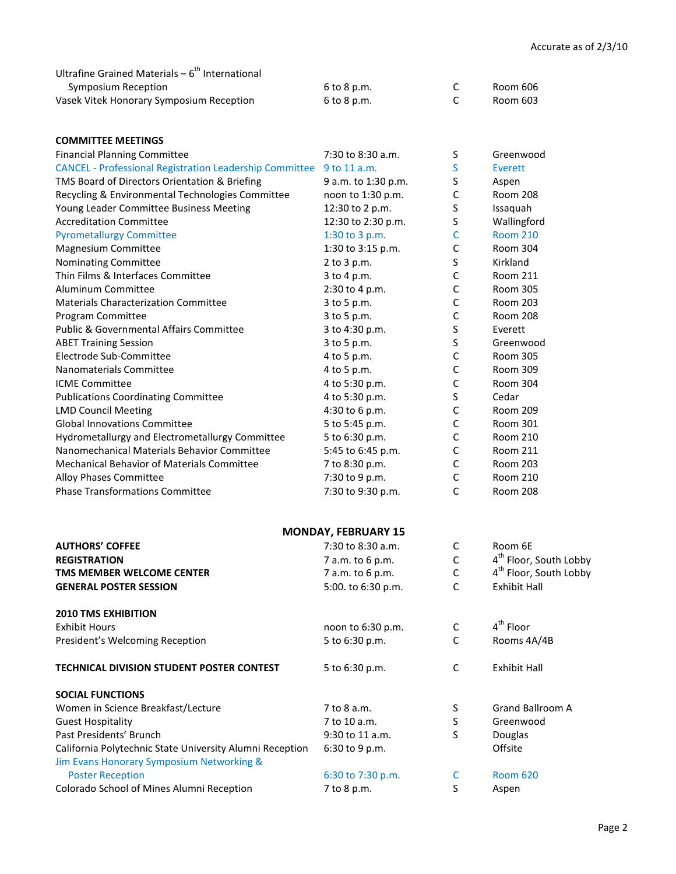| Ultrafine Grained Materials – 6 <sup>th</sup> International |             |          |
|-------------------------------------------------------------|-------------|----------|
| Symposium Reception                                         | 6 to 8 p.m. | Room 606 |
| Vasek Vitek Honorary Symposium Reception                    | 6 to 8 p.m. | Room 603 |

| <b>COMMITTEE MEETINGS</b>                                      |                            |              |                                    |
|----------------------------------------------------------------|----------------------------|--------------|------------------------------------|
| <b>Financial Planning Committee</b>                            | 7:30 to 8:30 a.m.          | S            | Greenwood                          |
| <b>CANCEL - Professional Registration Leadership Committee</b> | 9 to 11 a.m.               | S            | Everett                            |
| TMS Board of Directors Orientation & Briefing                  | 9 a.m. to 1:30 p.m.        | S            | Aspen                              |
| Recycling & Environmental Technologies Committee               | noon to 1:30 p.m.          | C            | Room 208                           |
| Young Leader Committee Business Meeting                        | 12:30 to 2 p.m.            | S            | Issaquah                           |
| <b>Accreditation Committee</b>                                 | 12:30 to 2:30 p.m.         | S            | Wallingford                        |
| <b>Pyrometallurgy Committee</b>                                | 1:30 to 3 p.m.             | С            | <b>Room 210</b>                    |
| Magnesium Committee                                            | 1:30 to 3:15 p.m.          | C            | Room 304                           |
| Nominating Committee                                           | 2 to 3 p.m.                | S            | Kirkland                           |
| Thin Films & Interfaces Committee                              | 3 to 4 p.m.                | С            | <b>Room 211</b>                    |
| Aluminum Committee                                             | 2:30 to 4 p.m.             | $\mathsf C$  | <b>Room 305</b>                    |
| <b>Materials Characterization Committee</b>                    | 3 to 5 p.m.                | $\mathsf C$  | <b>Room 203</b>                    |
| Program Committee                                              | 3 to 5 p.m.                | C            | Room 208                           |
| <b>Public &amp; Governmental Affairs Committee</b>             | 3 to 4:30 p.m.             | S            | Everett                            |
| <b>ABET Training Session</b>                                   | 3 to 5 p.m.                | S            | Greenwood                          |
| Electrode Sub-Committee                                        | 4 to 5 p.m.                | $\mathsf C$  | <b>Room 305</b>                    |
| Nanomaterials Committee                                        | 4 to 5 p.m.                | $\mathsf C$  | <b>Room 309</b>                    |
| <b>ICME Committee</b>                                          | 4 to 5:30 p.m.             | $\mathsf C$  | Room 304                           |
| <b>Publications Coordinating Committee</b>                     | 4 to 5:30 p.m.             | S            | Cedar                              |
| <b>LMD Council Meeting</b>                                     | 4:30 to 6 p.m.             | $\mathsf C$  | <b>Room 209</b>                    |
| <b>Global Innovations Committee</b>                            | 5 to 5:45 p.m.             | $\mathsf C$  | <b>Room 301</b>                    |
| Hydrometallurgy and Electrometallurgy Committee                | 5 to 6:30 p.m.             | $\mathsf C$  | Room 210                           |
| Nanomechanical Materials Behavior Committee                    | 5:45 to 6:45 p.m.          | $\mathsf C$  | <b>Room 211</b>                    |
| <b>Mechanical Behavior of Materials Committee</b>              | 7 to 8:30 p.m.             | $\mathsf C$  | <b>Room 203</b>                    |
| Alloy Phases Committee                                         | 7:30 to 9 p.m.             | C            | <b>Room 210</b>                    |
| <b>Phase Transformations Committee</b>                         | 7:30 to 9:30 p.m.          | C            | <b>Room 208</b>                    |
|                                                                |                            |              |                                    |
|                                                                |                            |              |                                    |
|                                                                | <b>MONDAY, FEBRUARY 15</b> |              |                                    |
| <b>AUTHORS' COFFEE</b>                                         | 7:30 to 8:30 a.m.          | C            | Room 6E                            |
| <b>REGISTRATION</b>                                            | 7 a.m. to 6 p.m.           | $\mathsf C$  | 4 <sup>th</sup> Floor, South Lobby |
| TMS MEMBER WELCOME CENTER                                      | 7 a.m. to 6 p.m.           | $\mathsf C$  | 4 <sup>th</sup> Floor, South Lobby |
| <b>GENERAL POSTER SESSION</b>                                  | 5:00. to 6:30 p.m.         | C            | <b>Exhibit Hall</b>                |
| <b>2010 TMS EXHIBITION</b>                                     |                            |              |                                    |
| <b>Exhibit Hours</b>                                           | noon to 6:30 p.m.          | $\mathsf{C}$ | $\boldsymbol{4}^{\text{th}}$ Floor |
| President's Welcoming Reception                                | 5 to 6:30 p.m.             | C            | Rooms 4A/4B                        |
| TECHNICAL DIVISION STUDENT POSTER CONTEST                      | 5 to 6:30 p.m.             | C            | <b>Exhibit Hall</b>                |
| <b>SOCIAL FUNCTIONS</b>                                        |                            |              |                                    |
| Women in Science Breakfast/Lecture                             | 7 to 8 a.m.                | S            | <b>Grand Ballroom A</b>            |
| <b>Guest Hospitality</b>                                       | 7 to 10 a.m.               | S            | Greenwood                          |
| Past Presidents' Brunch                                        | 9:30 to 11 a.m.            | S            | Douglas                            |
| California Polytechnic State University Alumni Reception       | 6:30 to 9 p.m.             |              | Offsite                            |
| Jim Evans Honorary Symposium Networking &                      |                            |              |                                    |
| <b>Poster Reception</b>                                        | 6:30 to 7:30 p.m.          | C            | <b>Room 620</b>                    |
| Colorado School of Mines Alumni Reception                      | 7 to 8 p.m.                | S            | Aspen                              |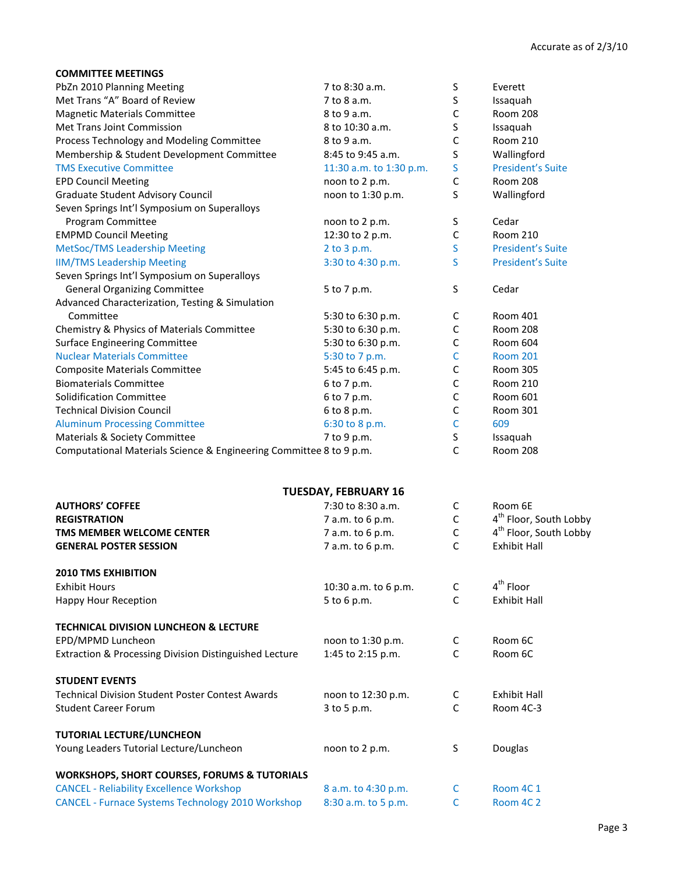| <b>COMMITTEE MEETINGS</b>                                           |                             |             |                                    |
|---------------------------------------------------------------------|-----------------------------|-------------|------------------------------------|
| PbZn 2010 Planning Meeting                                          | 7 to 8:30 a.m.              | S           | Everett                            |
| Met Trans "A" Board of Review                                       | 7 to 8 a.m.                 | S           | Issaquah                           |
| <b>Magnetic Materials Committee</b>                                 | 8 to 9 a.m.                 | C           | <b>Room 208</b>                    |
| Met Trans Joint Commission                                          | 8 to 10:30 a.m.             | S           | Issaquah                           |
| Process Technology and Modeling Committee                           | 8 to 9 a.m.                 | $\mathsf C$ | <b>Room 210</b>                    |
| Membership & Student Development Committee                          | 8:45 to 9:45 a.m.           | S           | Wallingford                        |
| <b>TMS Executive Committee</b>                                      | 11:30 a.m. to 1:30 p.m.     | S           | <b>President's Suite</b>           |
| <b>EPD Council Meeting</b>                                          | noon to 2 p.m.              | $\mathsf C$ | Room 208                           |
| <b>Graduate Student Advisory Council</b>                            | noon to 1:30 p.m.           | S           | Wallingford                        |
| Seven Springs Int'l Symposium on Superalloys                        |                             |             |                                    |
| Program Committee                                                   | noon to 2 p.m.              | S           | Cedar                              |
| <b>EMPMD Council Meeting</b>                                        | 12:30 to 2 p.m.             | C           | Room 210                           |
| <b>MetSoc/TMS Leadership Meeting</b>                                | 2 to 3 p.m.                 | S           | <b>President's Suite</b>           |
| <b>IIM/TMS Leadership Meeting</b>                                   | 3:30 to 4:30 p.m.           | S           | <b>President's Suite</b>           |
| Seven Springs Int'l Symposium on Superalloys                        |                             |             |                                    |
| <b>General Organizing Committee</b>                                 | 5 to 7 p.m.                 | S           | Cedar                              |
| Advanced Characterization, Testing & Simulation                     |                             |             |                                    |
| Committee                                                           | 5:30 to 6:30 p.m.           | C           | <b>Room 401</b>                    |
| Chemistry & Physics of Materials Committee                          | 5:30 to 6:30 p.m.           | C           | Room 208                           |
| <b>Surface Engineering Committee</b>                                | 5:30 to 6:30 p.m.           | C           | Room 604                           |
| <b>Nuclear Materials Committee</b>                                  | 5:30 to 7 p.m.              | $\mathsf C$ | <b>Room 201</b>                    |
| <b>Composite Materials Committee</b>                                | 5:45 to 6:45 p.m.           | $\mathsf C$ | Room 305                           |
| <b>Biomaterials Committee</b>                                       | 6 to 7 p.m.                 | $\mathsf C$ | <b>Room 210</b>                    |
| <b>Solidification Committee</b>                                     | 6 to 7 p.m.                 | C           | Room 601                           |
| <b>Technical Division Council</b>                                   | 6 to 8 p.m.                 | C           | Room 301                           |
| <b>Aluminum Processing Committee</b>                                | 6:30 to 8 p.m.              | C           | 609                                |
| Materials & Society Committee                                       | 7 to 9 p.m.                 | S           | Issaquah                           |
| Computational Materials Science & Engineering Committee 8 to 9 p.m. |                             | C           | <b>Room 208</b>                    |
|                                                                     | <b>TUESDAY, FEBRUARY 16</b> |             |                                    |
| <b>AUTHORS' COFFEE</b>                                              | 7:30 to 8:30 a.m.           | $\mathsf C$ | Room 6E                            |
| <b>REGISTRATION</b>                                                 | 7 a.m. to 6 p.m.            | $\mathsf C$ | 4 <sup>th</sup> Floor, South Lobby |
| TMS MEMBER WELCOME CENTER                                           | 7 a.m. to 6 p.m.            | $\mathsf C$ | 4 <sup>th</sup> Floor, South Lobby |
| <b>GENERAL POSTER SESSION</b>                                       | 7 a.m. to 6 p.m.            | C           | <b>Exhibit Hall</b>                |
| <b>2010 TMS EXHIBITION</b>                                          |                             |             |                                    |
| <b>Exhibit Hours</b>                                                | 10:30 a.m. to 6 p.m.        | С           | $4th$ Floor                        |
| Happy Hour Reception                                                | 5 to 6 p.m.                 | C           | <b>Exhibit Hall</b>                |
| <b>TECHNICAL DIVISION LUNCHEON &amp; LECTURE</b>                    |                             |             |                                    |
| EPD/MPMD Luncheon                                                   | noon to 1:30 p.m.           | C           | Room 6C                            |
| Extraction & Processing Division Distinguished Lecture              | 1:45 to 2:15 p.m.           | C           | Room 6C                            |

## **STUDENT EVENTS**

Technical Division Student Poster Contest Awards noon to 12:30 p.m. C Exhibit Hall Student Career Forum and the Student Career Forum and Student Career Forum 2 to 5 p.m.

## **TUTORIAL LECTURE/LUNCHEON**

| Young Leaders Tutorial Lecture/Luncheon | noon to 2 p.m. | Douglas |  |
|-----------------------------------------|----------------|---------|--|
|                                         |                |         |  |

## **WORKSHOPS, SHORT COURSES, FORUMS & TUTORIALS**

| <b>CANCEL - Reliability Excellence Workshop</b>          | 8 a.m. to 4:30 p.m. | Room 4C 1 |
|----------------------------------------------------------|---------------------|-----------|
| <b>CANCEL - Furnace Systems Technology 2010 Workshop</b> | 8:30 a.m. to 5 p.m. | Room 4C 2 |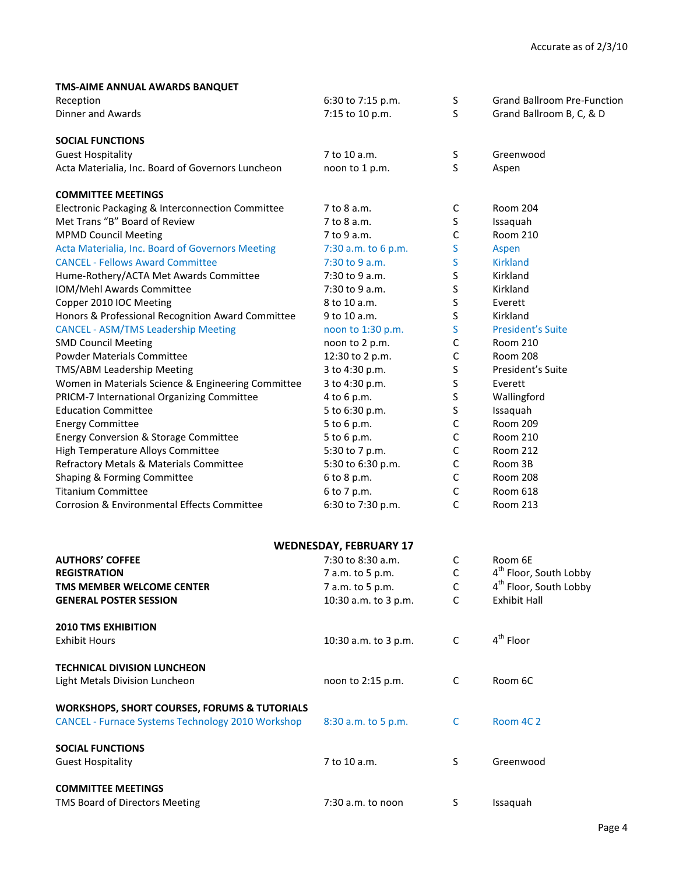| TMS-AIME ANNUAL AWARDS BANQUET |  |  |
|--------------------------------|--|--|

| Reception                                                | 6:30 to 7:15 p.m.             | S            | <b>Grand Ballroom Pre-Function</b> |
|----------------------------------------------------------|-------------------------------|--------------|------------------------------------|
| Dinner and Awards                                        | 7:15 to 10 p.m.               | S            | Grand Ballroom B, C, & D           |
| <b>SOCIAL FUNCTIONS</b>                                  |                               |              |                                    |
| <b>Guest Hospitality</b>                                 | 7 to 10 a.m.                  | S            | Greenwood                          |
| Acta Materialia, Inc. Board of Governors Luncheon        | noon to 1 p.m.                | S            | Aspen                              |
| <b>COMMITTEE MEETINGS</b>                                |                               |              |                                    |
| Electronic Packaging & Interconnection Committee         | 7 to 8 a.m.                   | C            | <b>Room 204</b>                    |
| Met Trans "B" Board of Review                            | 7 to 8 a.m.                   | S            | Issaquah                           |
| <b>MPMD Council Meeting</b>                              | 7 to 9 a.m.                   | $\mathsf C$  | <b>Room 210</b>                    |
| Acta Materialia, Inc. Board of Governors Meeting         | 7:30 a.m. to 6 p.m.           | S            | Aspen                              |
| <b>CANCEL - Fellows Award Committee</b>                  | 7:30 to 9 a.m.                | S            | <b>Kirkland</b>                    |
| Hume-Rothery/ACTA Met Awards Committee                   | 7:30 to 9 a.m.                | S            | Kirkland                           |
| IOM/Mehl Awards Committee                                | 7:30 to 9 a.m.                | $\sf S$      | Kirkland                           |
| Copper 2010 IOC Meeting                                  | 8 to 10 a.m.                  | S            | Everett                            |
| Honors & Professional Recognition Award Committee        | 9 to 10 a.m.                  | $\sf S$      | Kirkland                           |
| <b>CANCEL - ASM/TMS Leadership Meeting</b>               | noon to 1:30 p.m.             | S            | <b>President's Suite</b>           |
| <b>SMD Council Meeting</b>                               | noon to 2 p.m.                | C            | <b>Room 210</b>                    |
| <b>Powder Materials Committee</b>                        | 12:30 to 2 p.m.               | $\mathsf{C}$ | <b>Room 208</b>                    |
| TMS/ABM Leadership Meeting                               | 3 to 4:30 p.m.                | S            | President's Suite                  |
| Women in Materials Science & Engineering Committee       | 3 to 4:30 p.m.                | S            | Everett                            |
| PRICM-7 International Organizing Committee               | 4 to 6 p.m.                   | S            | Wallingford                        |
| <b>Education Committee</b>                               | 5 to 6:30 p.m.                | S            | Issaquah                           |
| <b>Energy Committee</b>                                  | 5 to 6 p.m.                   | $\mathsf C$  | Room 209                           |
| Energy Conversion & Storage Committee                    | 5 to 6 p.m.                   | $\mathsf C$  | <b>Room 210</b>                    |
| High Temperature Alloys Committee                        | 5:30 to 7 p.m.                | $\mathsf C$  | <b>Room 212</b>                    |
| Refractory Metals & Materials Committee                  | 5:30 to 6:30 p.m.             | $\mathsf C$  | Room 3B                            |
| Shaping & Forming Committee                              | 6 to 8 p.m.                   | $\mathsf C$  | <b>Room 208</b>                    |
| <b>Titanium Committee</b>                                | 6 to 7 p.m.                   | $\mathsf C$  | Room 618                           |
| Corrosion & Environmental Effects Committee              | 6:30 to 7:30 p.m.             | C            | <b>Room 213</b>                    |
|                                                          |                               |              |                                    |
|                                                          | <b>WEDNESDAY, FEBRUARY 17</b> |              |                                    |
| <b>AUTHORS' COFFEE</b>                                   | 7:30 to 8:30 a.m.             | C            | Room 6E                            |
| <b>REGISTRATION</b>                                      | 7 a.m. to 5 p.m.              | $\mathsf C$  | 4 <sup>th</sup> Floor, South Lobby |
| TMS MEMBER WELCOME CENTER                                | 7 a.m. to 5 p.m.              | $\mathsf C$  | 4 <sup>th</sup> Floor, South Lobby |
| <b>GENERAL POSTER SESSION</b>                            | 10:30 a.m. to 3 p.m.          | C            | Exhibit Hall                       |
| <b>2010 TMS EXHIBITION</b>                               |                               |              |                                    |
| <b>Exhibit Hours</b>                                     | 10:30 a.m. to 3 p.m.          | $\mathsf C$  | 4 <sup>th</sup> Floor              |
| <b>TECHNICAL DIVISION LUNCHEON</b>                       |                               |              |                                    |
| Light Metals Division Luncheon                           | noon to 2:15 p.m.             | C            | Room 6C                            |
| <b>WORKSHOPS, SHORT COURSES, FORUMS &amp; TUTORIALS</b>  |                               |              |                                    |
| <b>CANCEL - Furnace Systems Technology 2010 Workshop</b> | 8:30 a.m. to 5 p.m.           | C            | Room 4C 2                          |
| <b>SOCIAL FUNCTIONS</b>                                  |                               |              |                                    |
| <b>Guest Hospitality</b>                                 | 7 to 10 a.m.                  | S            | Greenwood                          |
| <b>COMMITTEE MEETINGS</b>                                |                               |              |                                    |
| TMS Board of Directors Meeting                           | 7:30 a.m. to noon             | S            | Issaquah                           |